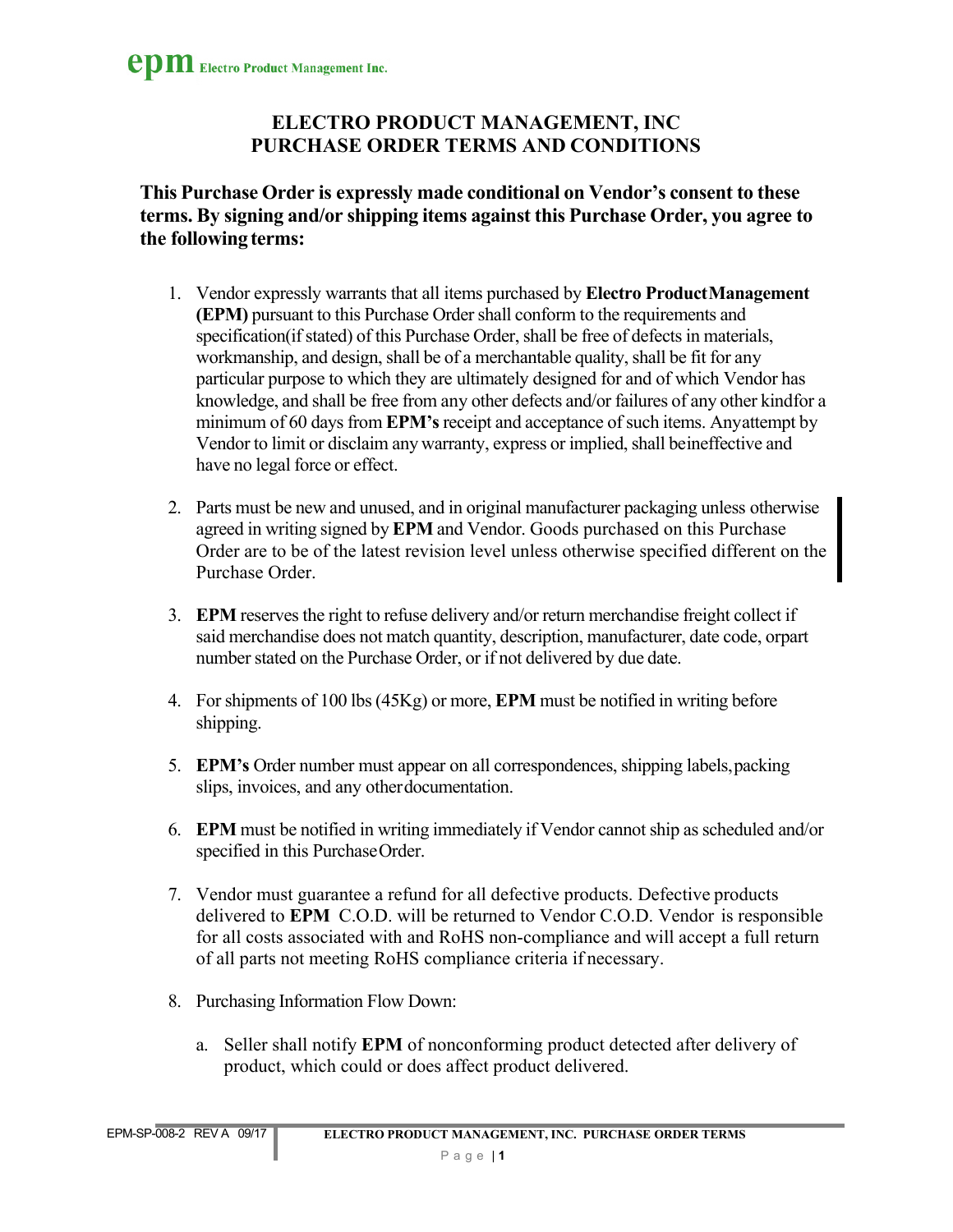## **ELECTRO PRODUCT MANAGEMENT, INC PURCHASE ORDER TERMS AND CONDITIONS**

**This Purchase Order is expressly made conditional on Vendor's consent to these terms. By signing and/or shipping items against this Purchase Order, you agree to the following terms:**

- 1. Vendor expressly warrants that all items purchased by **Electro Product Management (EPM)** pursuant to this Purchase Order shall conform to the requirements and specification(if stated) of this Purchase Order, shall be free of defects in materials, workmanship, and design, shall be of a merchantable quality, shall be fit for any particular purpose to which they are ultimately designed for and of which Vendor has knowledge, and shall be free from any other defects and/or failures of any other kind for a minimum of 60 days from **EPM's** receipt and acceptance of such items. Any attempt by Vendor to limit or disclaim any warranty, express or implied, shall be ineffective and have no legal force or effect.
- 2. Parts must be new and unused, and in original manufacturer packaging unless otherwise agreed in writing signed by **EPM** and Vendor. Goods purchased on this Purchase Order are to be of the latest revision level unless otherwise specified different on the Purchase Order.
- 3. **EPM** reserves the right to refuse delivery and/or return merchandise freight collect if said merchandise does not match quantity, description, manufacturer, date code, orpart number stated on the Purchase Order, or if not delivered by due date.
- 4. For shipments of 100 lbs (45Kg) or more, **EPM** must be notified in writing before shipping.
- 5. **EPM's** Order number must appear on all correspondences, shipping labels, packing slips, invoices, and any other documentation.
- 6. **EPM** must be notified in writing immediately if Vendor cannot ship as scheduled and/or specified in this Purchase Order.
- 7. Vendor must guarantee a refund for all defective products. Defective products delivered to **EPM** C.O.D. will be returned to Vendor C.O.D. Vendor is responsible for all costs associated with and RoHS non-compliance and will accept a full return of all parts not meeting RoHS compliance criteria if necessary.
- 8. Purchasing Information Flow Down:
	- a. Seller shall notify **EPM** of nonconforming product detected after delivery of product, which could or does affect product delivered.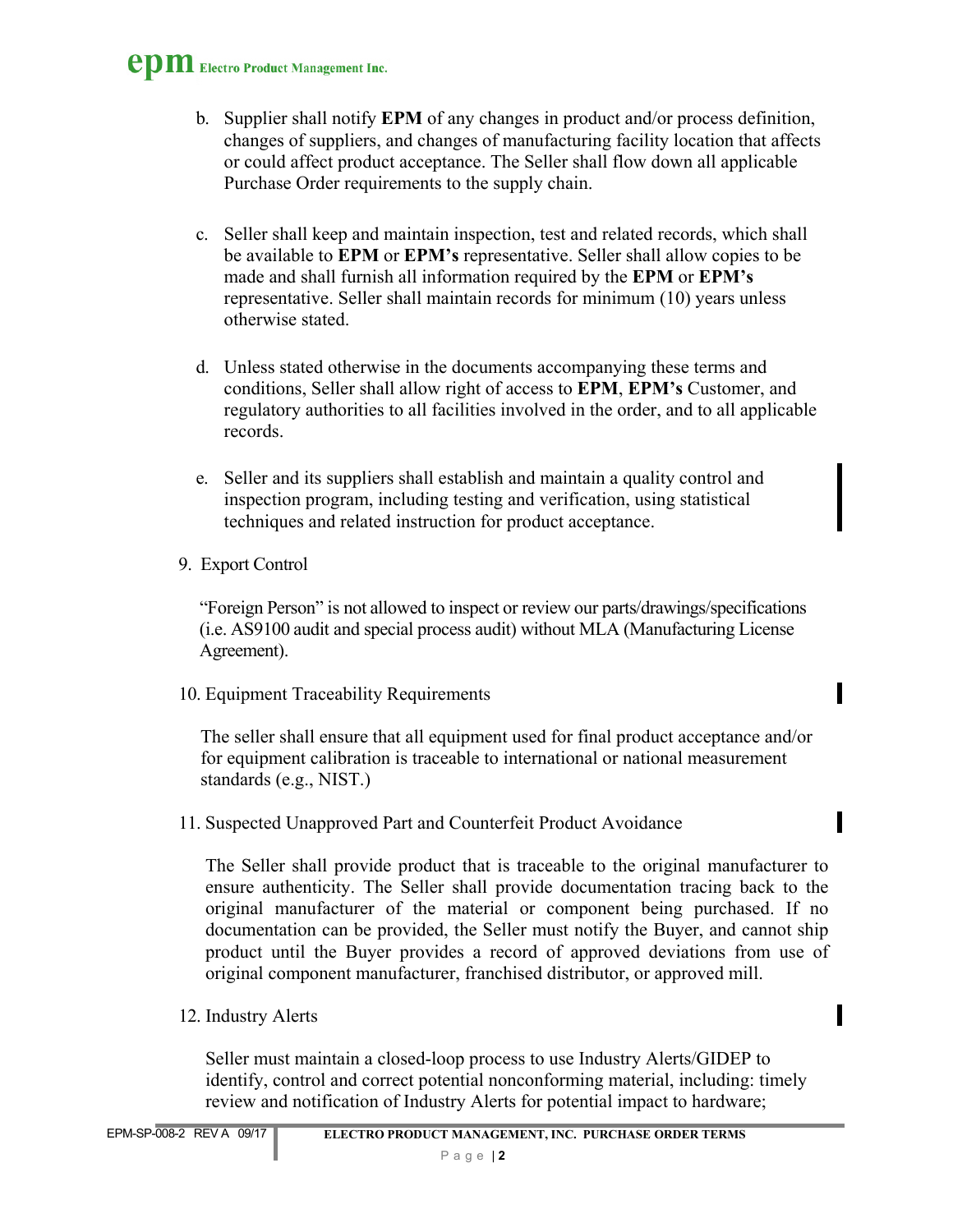## **epm** Electro Product Management Inc.

- b. Supplier shall notify **EPM** of any changes in product and/or process definition, changes of suppliers, and changes of manufacturing facility location that affects or could affect product acceptance. The Seller shall flow down all applicable Purchase Order requirements to the supply chain.
- c. Seller shall keep and maintain inspection, test and related records, which shall be available to **EPM** or **EPM's** representative. Seller shall allow copies to be made and shall furnish all information required by the **EPM** or **EPM's** representative. Seller shall maintain records for minimum (10) years unless otherwise stated.
- d. Unless stated otherwise in the documents accompanying these terms and conditions, Seller shall allow right of access to **EPM**, **EPM's** Customer, and regulatory authorities to all facilities involved in the order, and to all applicable records.
- e. Seller and its suppliers shall establish and maintain a quality control and inspection program, including testing and verification, using statistical techniques and related instruction for product acceptance.
- 9. Export Control

"Foreign Person" is not allowed to inspect or review our parts/drawings/specifications (i.e. AS9100 audit and special process audit) without MLA (Manufacturing License Agreement).

10. Equipment Traceability Requirements

The seller shall ensure that all equipment used for final product acceptance and/or for equipment calibration is traceable to international or national measurement standards (e.g., NIST.)

11. Suspected Unapproved Part and Counterfeit Product Avoidance

The Seller shall provide product that is traceable to the original manufacturer to ensure authenticity. The Seller shall provide documentation tracing back to the original manufacturer of the material or component being purchased. If no documentation can be provided, the Seller must notify the Buyer, and cannot ship product until the Buyer provides a record of approved deviations from use of original component manufacturer, franchised distributor, or approved mill.

12. Industry Alerts

Seller must maintain a closed-loop process to use Industry Alerts/GIDEP to identify, control and correct potential nonconforming material, including: timely review and notification of Industry Alerts for potential impact to hardware;